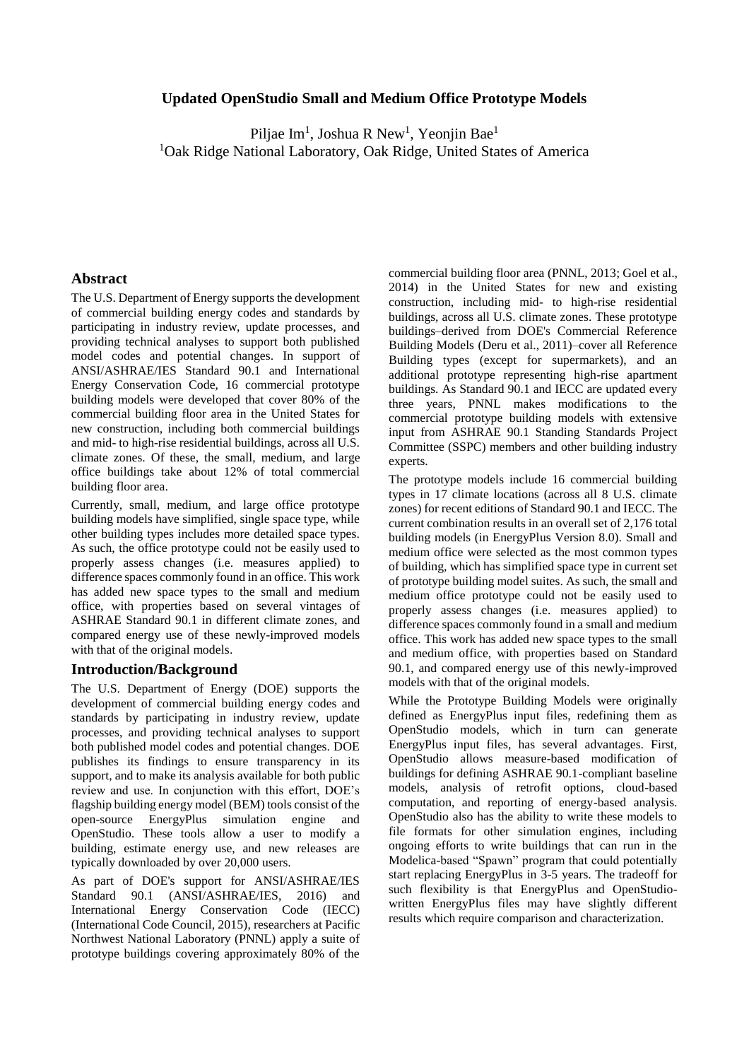# **Updated OpenStudio Small and Medium Office Prototype Models**

Piljae Im<sup>1</sup>, Joshua R New<sup>1</sup>, Yeonjin Bae<sup>1</sup> <sup>1</sup>Oak Ridge National Laboratory, Oak Ridge, United States of America

## **Abstract**

The U.S. Department of Energy supports the development of commercial building energy codes and standards by participating in industry review, update processes, and providing technical analyses to support both published model codes and potential changes. In support of ANSI/ASHRAE/IES Standard 90.1 and International Energy Conservation Code, 16 commercial prototype building models were developed that cover 80% of the commercial building floor area in the United States for new construction, including both commercial buildings and mid- to high-rise residential buildings, across all U.S. climate zones. Of these, the small, medium, and large office buildings take about 12% of total commercial building floor area.

Currently, small, medium, and large office prototype building models have simplified, single space type, while other building types includes more detailed space types. As such, the office prototype could not be easily used to properly assess changes (i.e. measures applied) to difference spaces commonly found in an office. This work has added new space types to the small and medium office, with properties based on several vintages of ASHRAE Standard 90.1 in different climate zones, and compared energy use of these newly-improved models with that of the original models.

# **Introduction/Background**

The U.S. Department of Energy (DOE) supports the development of commercial building energy codes and standards by participating in industry review, update processes, and providing technical analyses to support both published model codes and potential changes. DOE publishes its findings to ensure transparency in its support, and to make its analysis available for both public review and use. In conjunction with this effort, DOE's flagship building energy model (BEM) tools consist of the open-source EnergyPlus simulation engine and OpenStudio. These tools allow a user to modify a building, estimate energy use, and new releases are typically downloaded by over 20,000 users.

As part of DOE's support for ANSI/ASHRAE/IES Standard 90.1 (ANSI/ASHRAE/IES, 2016) and International Energy Conservation Code (IECC) (International Code Council, 2015), researchers at Pacific Northwest National Laboratory (PNNL) apply a suite of prototype buildings covering approximately 80% of the

commercial building floor area (PNNL, 2013; Goel et al., 2014) in the United States for new and existing construction, including mid- to high-rise residential buildings, across all U.S. climate zones. These prototype buildings–derived from DOE's Commercial Reference Building Models (Deru et al., 2011)–cover all Reference Building types (except for supermarkets), and an additional prototype representing high-rise apartment buildings. As Standard 90.1 and IECC are updated every three years, PNNL makes modifications to the commercial prototype building models with extensive input from ASHRAE 90.1 Standing Standards Project Committee (SSPC) members and other building industry experts.

The prototype models include 16 commercial building types in 17 climate locations (across all 8 U.S. climate zones) for recent editions of Standard 90.1 and IECC. The current combination results in an overall set of 2,176 total building models (in EnergyPlus Version 8.0). Small and medium office were selected as the most common types of building, which has simplified space type in current set of prototype building model suites. As such, the small and medium office prototype could not be easily used to properly assess changes (i.e. measures applied) to difference spaces commonly found in a small and medium office. This work has added new space types to the small and medium office, with properties based on Standard 90.1, and compared energy use of this newly-improved models with that of the original models.

While the Prototype Building Models were originally defined as EnergyPlus input files, redefining them as OpenStudio models, which in turn can generate EnergyPlus input files, has several advantages. First, OpenStudio allows measure-based modification of buildings for defining ASHRAE 90.1-compliant baseline models, analysis of retrofit options, cloud-based computation, and reporting of energy-based analysis. OpenStudio also has the ability to write these models to file formats for other simulation engines, including ongoing efforts to write buildings that can run in the Modelica-based "Spawn" program that could potentially start replacing EnergyPlus in 3-5 years. The tradeoff for such flexibility is that EnergyPlus and OpenStudiowritten EnergyPlus files may have slightly different results which require comparison and characterization.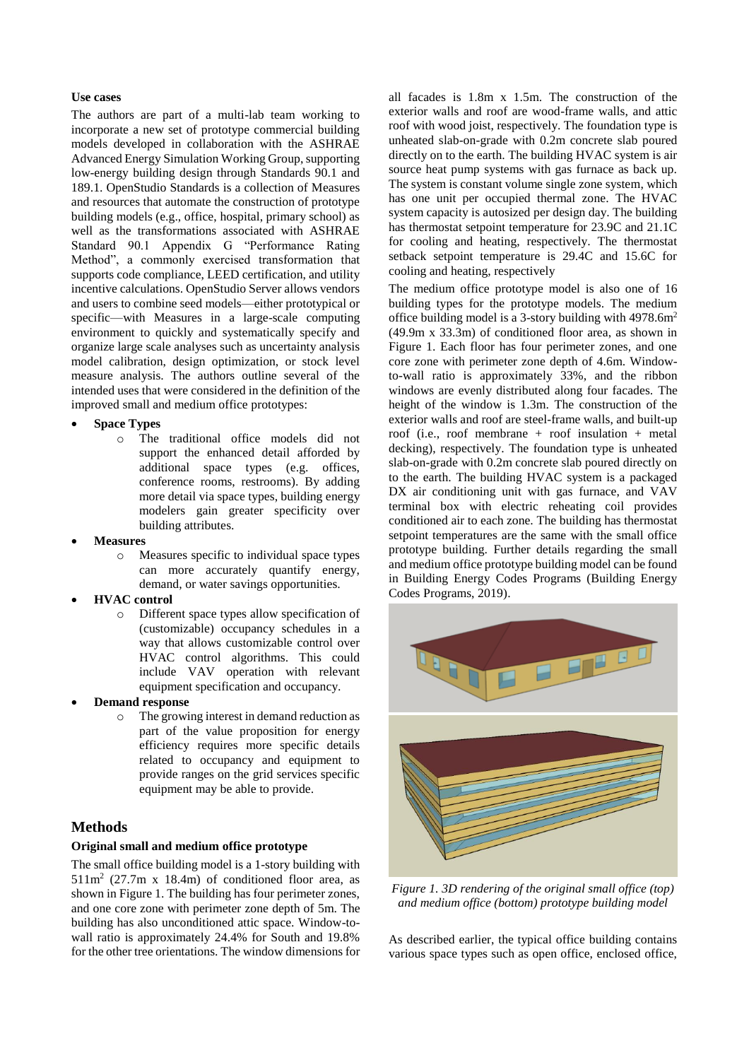#### **Use cases**

The authors are part of a multi-lab team working to incorporate a new set of prototype commercial building models developed in collaboration with the ASHRAE Advanced Energy Simulation Working Group, supporting low-energy building design through Standards 90.1 and 189.1. OpenStudio Standards is a collection of Measures and resources that automate the construction of prototype building models (e.g., office, hospital, primary school) as well as the transformations associated with ASHRAE Standard 90.1 Appendix G "Performance Rating Method", a commonly exercised transformation that supports code compliance, LEED certification, and utility incentive calculations. OpenStudio Server allows vendors and users to combine seed models—either prototypical or specific—with Measures in a large-scale computing environment to quickly and systematically specify and organize large scale analyses such as uncertainty analysis model calibration, design optimization, or stock level measure analysis. The authors outline several of the intended uses that were considered in the definition of the improved small and medium office prototypes:

- **Space Types**
	- o The traditional office models did not support the enhanced detail afforded by additional space types (e.g. offices, conference rooms, restrooms). By adding more detail via space types, building energy modelers gain greater specificity over building attributes.
- **Measures**
	- o Measures specific to individual space types can more accurately quantify energy, demand, or water savings opportunities.
- **HVAC control**
	- o Different space types allow specification of (customizable) occupancy schedules in a way that allows customizable control over HVAC control algorithms. This could include VAV operation with relevant equipment specification and occupancy.
- **Demand response**
	- o The growing interest in demand reduction as part of the value proposition for energy efficiency requires more specific details related to occupancy and equipment to provide ranges on the grid services specific equipment may be able to provide.

# **Methods**

## **Original small and medium office prototype**

The small office building model is a 1-story building with  $511\,\text{m}^2$  (27.7m x 18.4m) of conditioned floor area, as shown in Figure 1. The building has four perimeter zones, and one core zone with perimeter zone depth of 5m. The building has also unconditioned attic space. Window-towall ratio is approximately 24.4% for South and 19.8% for the other tree orientations. The window dimensions for

all facades is 1.8m x 1.5m. The construction of the exterior walls and roof are wood-frame walls, and attic roof with wood joist, respectively. The foundation type is unheated slab-on-grade with 0.2m concrete slab poured directly on to the earth. The building HVAC system is air source heat pump systems with gas furnace as back up. The system is constant volume single zone system, which has one unit per occupied thermal zone. The HVAC system capacity is autosized per design day. The building has thermostat setpoint temperature for 23.9C and 21.1C for cooling and heating, respectively. The thermostat setback setpoint temperature is 29.4C and 15.6C for cooling and heating, respectively

The medium office prototype model is also one of 16 building types for the prototype models. The medium office building model is a 3-story building with 4978.6m<sup>2</sup> (49.9m x 33.3m) of conditioned floor area, as shown in Figure 1. Each floor has four perimeter zones, and one core zone with perimeter zone depth of 4.6m. Windowto-wall ratio is approximately 33%, and the ribbon windows are evenly distributed along four facades. The height of the window is 1.3m. The construction of the exterior walls and roof are steel-frame walls, and built-up roof (i.e., roof membrane + roof insulation + metal decking), respectively. The foundation type is unheated slab-on-grade with 0.2m concrete slab poured directly on to the earth. The building HVAC system is a packaged DX air conditioning unit with gas furnace, and VAV terminal box with electric reheating coil provides conditioned air to each zone. The building has thermostat setpoint temperatures are the same with the small office prototype building. Further details regarding the small and medium office prototype building model can be found in Building Energy Codes Programs (Building Energy Codes Programs, 2019).



*Figure 1. 3D rendering of the original small office (top) and medium office (bottom) prototype building model*

As described earlier, the typical office building contains various space types such as open office, enclosed office,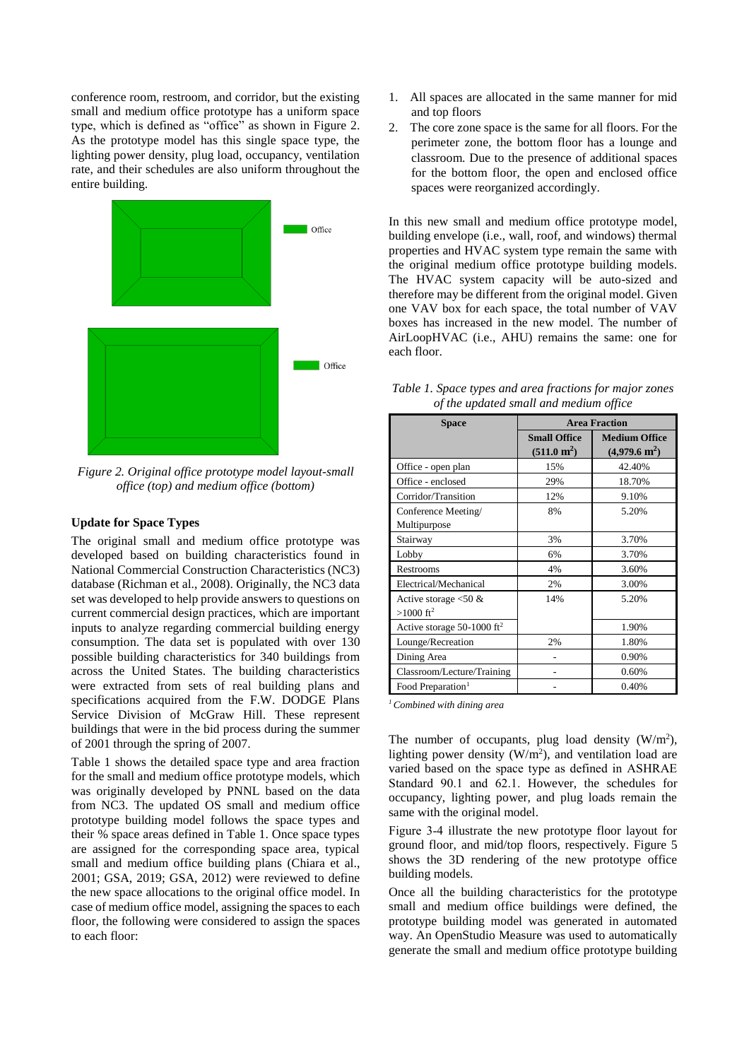conference room, restroom, and corridor, but the existing small and medium office prototype has a uniform space type, which is defined as "office" as shown in Figure 2. As the prototype model has this single space type, the lighting power density, plug load, occupancy, ventilation rate, and their schedules are also uniform throughout the entire building.



*Figure 2. Original office prototype model layout-small office (top) and medium office (bottom)*

### **Update for Space Types**

The original small and medium office prototype was developed based on building characteristics found in National Commercial Construction Characteristics (NC3) database (Richman et al., 2008). Originally, the NC3 data set was developed to help provide answers to questions on current commercial design practices, which are important inputs to analyze regarding commercial building energy consumption. The data set is populated with over 130 possible building characteristics for 340 buildings from across the United States. The building characteristics were extracted from sets of real building plans and specifications acquired from the F.W. DODGE Plans Service Division of McGraw Hill. These represent buildings that were in the bid process during the summer of 2001 through the spring of 2007.

Table 1 shows the detailed space type and area fraction for the small and medium office prototype models, which was originally developed by PNNL based on the data from NC3. The updated OS small and medium office prototype building model follows the space types and their % space areas defined in Table 1. Once space types are assigned for the corresponding space area, typical small and medium office building plans (Chiara et al., 2001; GSA, 2019; GSA, 2012) were reviewed to define the new space allocations to the original office model. In case of medium office model, assigning the spaces to each floor, the following were considered to assign the spaces to each floor:

- 1. All spaces are allocated in the same manner for mid and top floors
- 2. The core zone space is the same for all floors. For the perimeter zone, the bottom floor has a lounge and classroom. Due to the presence of additional spaces for the bottom floor, the open and enclosed office spaces were reorganized accordingly.

In this new small and medium office prototype model, building envelope (i.e., wall, roof, and windows) thermal properties and HVAC system type remain the same with the original medium office prototype building models. The HVAC system capacity will be auto-sized and therefore may be different from the original model. Given one VAV box for each space, the total number of VAV boxes has increased in the new model. The number of AirLoopHVAC (i.e., AHU) remains the same: one for each floor.

| <b>Space</b>                                        | <b>Area Fraction</b>                         |                                                 |  |
|-----------------------------------------------------|----------------------------------------------|-------------------------------------------------|--|
|                                                     | <b>Small Office</b><br>$(511.0 \text{ m}^2)$ | <b>Medium Office</b><br>$(4,979.6 \text{ m}^2)$ |  |
| Office - open plan                                  | 15%                                          | 42.40%                                          |  |
| Office - enclosed                                   | 29%                                          | 18.70%                                          |  |
| Corridor/Transition                                 | 12%                                          | 9.10%                                           |  |
| Conference Meeting/<br>Multipurpose                 | 8%                                           | 5.20%                                           |  |
| Stairway                                            | 3%                                           | 3.70%                                           |  |
| Lobby                                               | 6%                                           | 3.70%                                           |  |
| Restrooms                                           | 4%                                           | 3.60%                                           |  |
| Electrical/Mechanical                               | 2%                                           | 3.00%                                           |  |
| Active storage $< 50 \&$<br>$>1000$ ft <sup>2</sup> | 14%                                          | 5.20%                                           |  |
| Active storage 50-1000 $ft2$                        |                                              | 1.90%                                           |  |
| Lounge/Recreation                                   | 2%                                           | 1.80%                                           |  |
| Dining Area                                         |                                              | 0.90%                                           |  |
| Classroom/Lecture/Training                          |                                              | 0.60%                                           |  |
| Food Preparation <sup>1</sup>                       |                                              | 0.40%                                           |  |

*Table 1. Space types and area fractions for major zones of the updated small and medium office*

*<sup>1</sup>Combined with dining area*

The number of occupants, plug load density  $(W/m^2)$ , lighting power density  $(W/m^2)$ , and ventilation load are varied based on the space type as defined in ASHRAE Standard 90.1 and 62.1. However, the schedules for occupancy, lighting power, and plug loads remain the same with the original model.

Figure 3-4 illustrate the new prototype floor layout for ground floor, and mid/top floors, respectively. Figure 5 shows the 3D rendering of the new prototype office building models.

Once all the building characteristics for the prototype small and medium office buildings were defined, the prototype building model was generated in automated way. An OpenStudio Measure was used to automatically generate the small and medium office prototype building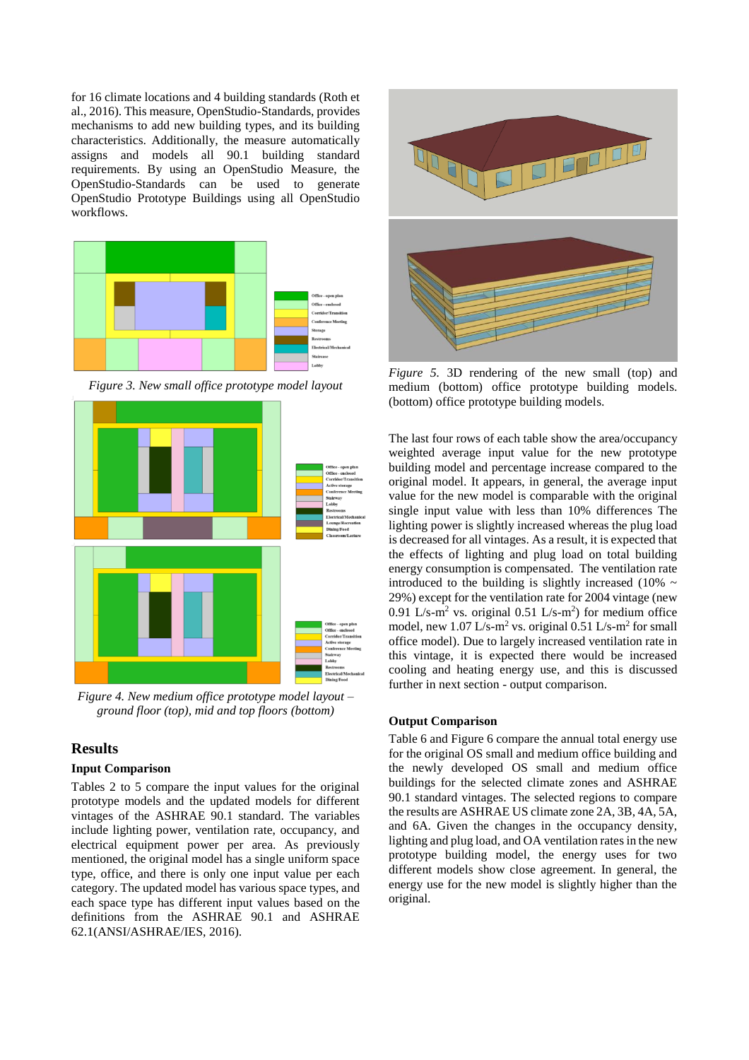for 16 climate locations and 4 building standards (Roth et al., 2016). This measure, OpenStudio-Standards, provides mechanisms to add new building types, and its building characteristics. Additionally, the measure automatically assigns and models all 90.1 building standard requirements. By using an OpenStudio Measure, the OpenStudio-Standards can be used to generate OpenStudio Prototype Buildings using all OpenStudio workflows.



*Figure 3. New small office prototype model layout*



*Figure 4. New medium office prototype model layout – ground floor (top), mid and top floors (bottom)*

# **Results**

### **Input Comparison**

Tables 2 to 5 compare the input values for the original prototype models and the updated models for different vintages of the ASHRAE 90.1 standard. The variables include lighting power, ventilation rate, occupancy, and electrical equipment power per area. As previously mentioned, the original model has a single uniform space type, office, and there is only one input value per each category. The updated model has various space types, and each space type has different input values based on the definitions from the ASHRAE 90.1 and ASHRAE 62.1(ANSI/ASHRAE/IES, 2016).



*Figure 5.* 3D rendering of the new small (top) and medium (bottom) office prototype building models. (bottom) office prototype building models.

The last four rows of each table show the area/occupancy weighted average input value for the new prototype building model and percentage increase compared to the original model. It appears, in general, the average input value for the new model is comparable with the original single input value with less than 10% differences The lighting power is slightly increased whereas the plug load is decreased for all vintages. As a result, it is expected that the effects of lighting and plug load on total building energy consumption is compensated. The ventilation rate introduced to the building is slightly increased (10%  $\sim$ 29%) except for the ventilation rate for 2004 vintage (new 0.91 L/s-m<sup>2</sup> vs. original 0.51 L/s-m<sup>2</sup>) for medium office model, new  $1.07 \text{ L/s-m}^2$  vs. original 0.51 L/s-m<sup>2</sup> for small office model). Due to largely increased ventilation rate in this vintage, it is expected there would be increased cooling and heating energy use, and this is discussed further in next section - output comparison.

### **Output Comparison**

Table 6 and Figure 6 compare the annual total energy use for the original OS small and medium office building and the newly developed OS small and medium office buildings for the selected climate zones and ASHRAE 90.1 standard vintages. The selected regions to compare the results are ASHRAE US climate zone 2A, 3B, 4A, 5A, and 6A. Given the changes in the occupancy density, lighting and plug load, and OA ventilation rates in the new prototype building model, the energy uses for two different models show close agreement. In general, the energy use for the new model is slightly higher than the original.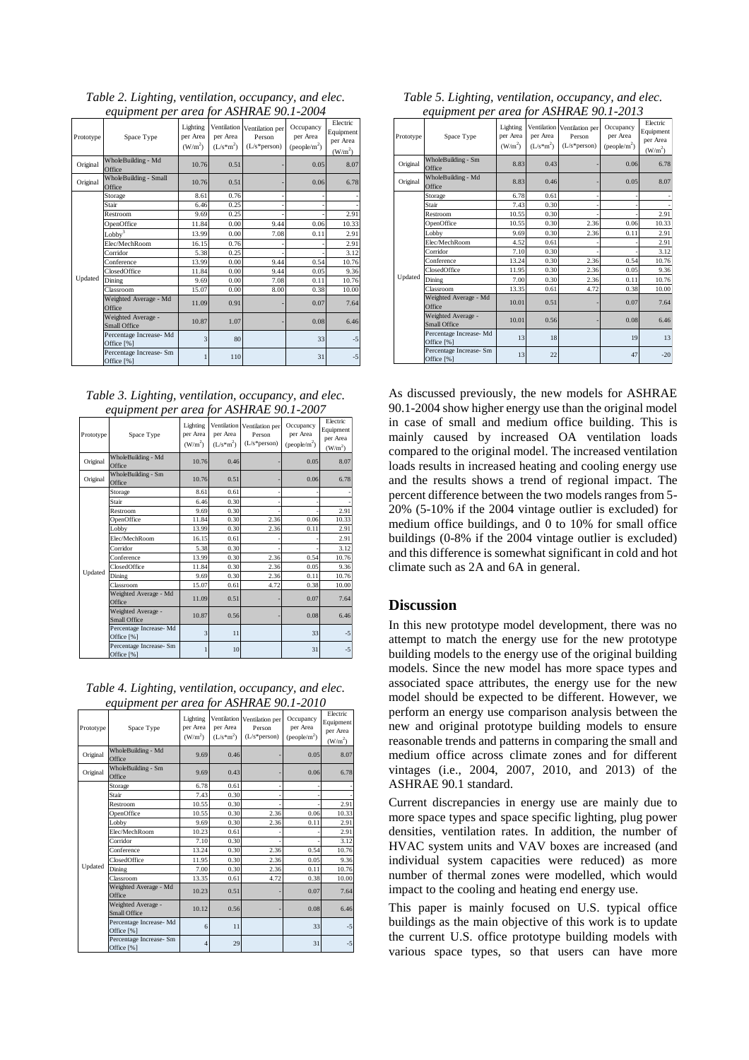| Prototype | Space Type                                | Lighting<br>per Area<br>(W/m <sup>2</sup> ) | per Area<br>$(L/s*m^2)$ | Ventilation Ventilation per<br>Person<br>$(L/s*person)$ | Occupancy<br>per Area<br>$(people/m^2)$ | Electric<br>Equipment<br>per Area<br>$(W/m^2)$ |
|-----------|-------------------------------------------|---------------------------------------------|-------------------------|---------------------------------------------------------|-----------------------------------------|------------------------------------------------|
| Original  | WholeBuilding - Md<br>Office              | 10.76                                       | 0.51                    |                                                         | 0.05                                    | 8.07                                           |
| Original  | WholeBuilding - Small<br>Office           | 10.76                                       | 0.51                    |                                                         | 0.06                                    | 6.78                                           |
|           | Storage                                   | 8.61                                        | 0.76                    |                                                         |                                         |                                                |
|           | Stair                                     | 6.46                                        | 0.25                    |                                                         |                                         |                                                |
|           | Restroom                                  | 9.69                                        | 0.25                    |                                                         |                                         | 2.91                                           |
|           | OpenOffice                                | 11.84                                       | 0.00                    | 9.44                                                    | 0.06                                    | 10.33                                          |
|           | Lobbv <sup>3</sup>                        | 13.99                                       | 0.00                    | 7.08                                                    | 0.11                                    | 2.91                                           |
|           | Elec/MechRoom                             | 16.15                                       | 0.76                    |                                                         |                                         | 2.91                                           |
|           | Corridor                                  | 5.38                                        | 0.25                    |                                                         |                                         | 3.12                                           |
|           | Conference                                | 13.99                                       | 0.00                    | 9.44                                                    | 0.54                                    | 10.76                                          |
|           | ClosedOffice                              | 11.84                                       | 0.00                    | 9.44                                                    | 0.05                                    | 9.36                                           |
| Updated   | Dining                                    | 9.69                                        | 0.00                    | 7.08                                                    | 0.11                                    | 10.76                                          |
|           | Classroom                                 | 15.07                                       | 0.00                    | 8.00                                                    | 0.38                                    | 10.00                                          |
|           | Weighted Average - Md<br>Office           | 11.09                                       | 0.91                    |                                                         | 0.07                                    | 7.64                                           |
|           | Weighted Average -<br><b>Small Office</b> | 10.87                                       | 1.07                    |                                                         | 0.08                                    | 6.46                                           |
|           | Percentage Increase- Md<br>Office [%]     | 3                                           | 80                      |                                                         | 33                                      | $-5$                                           |
|           | Percentage Increase- Sm<br>Office [%]     |                                             | 110                     |                                                         | 31                                      | $-5$                                           |

*Table 2. Lighting, ventilation, occupancy, and elec. equipment per area for ASHRAE 90.1-2004*

| Table 3. Lighting, ventilation, occupancy, and elec. |  |  |
|------------------------------------------------------|--|--|
| equipment per area for ASHRAE 90.1-2007              |  |  |

| Prototype | Space Type                            | Lighting<br>per Area<br>(W/m <sup>2</sup> ) | Ventilation<br>per Area<br>$(L/s*m2)$ | Ventilation per<br>Person<br>$(L/s*person)$ | Occupancy<br>per Area<br>(people/m <sup>2</sup> ) | Electric<br>Equipment<br>per Area<br>(W/m <sup>2</sup> ) |
|-----------|---------------------------------------|---------------------------------------------|---------------------------------------|---------------------------------------------|---------------------------------------------------|----------------------------------------------------------|
| Original  | WholeBuilding - Md<br>Office          | 10.76                                       | 0.46                                  |                                             | 0.05                                              | 8.07                                                     |
| Original  | WholeBuilding - Sm<br>Office          | 10.76                                       | 0.51                                  |                                             | 0.06                                              | 6.78                                                     |
|           | Storage                               | 8.61                                        | 0.61                                  |                                             |                                                   |                                                          |
|           | Stair                                 | 6.46                                        | 0.30                                  |                                             |                                                   |                                                          |
|           | Restroom                              | 9.69                                        | 0.30                                  |                                             |                                                   | 2.91                                                     |
|           | OpenOffice                            | 11.84                                       | 0.30                                  | 2.36                                        | 0.06                                              | 10.33                                                    |
|           | Lobby                                 | 13.99                                       | 0.30                                  | 2.36                                        | 0.11                                              | 2.91                                                     |
|           | Elec/MechRoom                         | 16.15                                       | 0.61                                  |                                             |                                                   | 2.91                                                     |
|           | Corridor                              | 5.38                                        | 0.30                                  |                                             |                                                   | 3.12                                                     |
|           | Conference                            | 13.99                                       | 0.30                                  | 2.36                                        | 0.54                                              | 10.76                                                    |
|           | ClosedOffice                          | 11.84                                       | 0.30                                  | 2.36                                        | 0.05                                              | 9.36                                                     |
| Updated   | Dining                                | 9.69                                        | 0.30                                  | 2.36                                        | 0.11                                              | 10.76                                                    |
|           | Classroom                             | 15.07                                       | 0.61                                  | 4.72                                        | 0.38                                              | 10.00                                                    |
|           | Weighted Average - Md<br>Office       | 11.09                                       | 0.51                                  |                                             | 0.07                                              | 7.64                                                     |
|           | Weighted Average -<br>Small Office    | 10.87                                       | 0.56                                  |                                             | 0.08                                              | 6.46                                                     |
|           | Percentage Increase- Md<br>Office [%] | 3                                           | 11                                    |                                             | 33                                                | $-5$                                                     |
|           | Percentage Increase- Sm<br>Office [%] |                                             | 10                                    |                                             | 31                                                | $-5$                                                     |

*Table 4. Lighting, ventilation, occupancy, and elec. equipment per area for ASHRAE 90.1-2010*

| Prototype | Space Type                            | Lighting<br>per Area<br>(W/m <sup>2</sup> ) | Ventilation<br>per Area<br>$(L/s* m^2)$ | Ventilation per<br>Person<br>$(L/s*person)$ | Occupancy<br>per Area<br>(people/m <sup>2</sup> ) | Electric<br>Equipment<br>per Area<br>(W/m <sup>2</sup> ) |
|-----------|---------------------------------------|---------------------------------------------|-----------------------------------------|---------------------------------------------|---------------------------------------------------|----------------------------------------------------------|
| Original  | WholeBuilding - Md<br>Office          | 9.69                                        | 0.46                                    |                                             | 0.05                                              | 8.07                                                     |
| Original  | WholeBuilding - Sm<br>Office          | 9.69                                        | 0.43                                    |                                             | 0.06                                              | 6.78                                                     |
|           | Storage                               | 6.78                                        | 0.61                                    |                                             |                                                   |                                                          |
|           | Stair                                 | 7.43                                        | 0.30                                    |                                             |                                                   |                                                          |
|           | Restroom                              | 10.55                                       | 0.30                                    |                                             |                                                   | 2.91                                                     |
|           | OpenOffice                            | 10.55                                       | 0.30                                    | 2.36                                        | 0.06                                              | 10.33                                                    |
|           | Lobby                                 | 9.69                                        | 0.30                                    | 2.36                                        | 0.11                                              | 2.91                                                     |
|           | Elec/MechRoom                         | 10.23                                       | 0.61                                    |                                             |                                                   | 2.91                                                     |
|           | Corridor                              | 7.10                                        | 0.30                                    |                                             |                                                   | 3.12                                                     |
|           | Conference                            | 13.24                                       | 0.30                                    | 2.36                                        | 0.54                                              | 10.76                                                    |
|           | <b>ClosedOffice</b>                   | 11.95                                       | 0.30                                    | 2.36                                        | 0.05                                              | 9.36                                                     |
| Updated   | Dining                                | 7.00                                        | 0.30                                    | 2.36                                        | 0.11                                              | 10.76                                                    |
|           | Classroom                             | 13.35                                       | 0.61                                    | 4.72                                        | 0.38                                              | 10.00                                                    |
|           | Weighted Average - Md<br>Office       | 10.23                                       | 0.51                                    |                                             | 0.07                                              | 7.64                                                     |
|           | Weighted Average -<br>Small Office    | 10.12                                       | 0.56                                    |                                             | 0.08                                              | 6.46                                                     |
|           | Percentage Increase- Md<br>Office [%] | 6                                           | 11                                      |                                             | 33                                                | $-5$                                                     |
|           | Percentage Increase- Sm<br>Office [%] | $\overline{4}$                              | 29                                      |                                             | 31                                                | $-5$                                                     |

| Table 5. Lighting, ventilation, occupancy, and elec. |  |
|------------------------------------------------------|--|
| equipment per area for ASHRAE 90.1-2013              |  |

| Prototype | Space Type                            | Lighting<br>per Area<br>(W/m <sup>2</sup> ) | per Area<br>$(L/s* m^2)$ | Ventilation Ventilation per<br>Person<br>$(L/s*person)$ | Occupancy<br>per Area<br>$(\text{people/m}^2)$ | Electric<br>Equipment<br>per Area<br>(W/m <sup>2</sup> ) |
|-----------|---------------------------------------|---------------------------------------------|--------------------------|---------------------------------------------------------|------------------------------------------------|----------------------------------------------------------|
| Original  | WholeBuilding - Sm<br>Office          | 8.83                                        | 0.43                     |                                                         | 0.06                                           | 6.78                                                     |
| Original  | WholeBuilding - Md<br>Office          | 8.83                                        | 0.46                     |                                                         | 0.05                                           | 8.07                                                     |
|           | Storage                               | 6.78                                        | 0.61                     |                                                         |                                                |                                                          |
|           | Stair                                 | 7.43                                        | 0.30                     |                                                         |                                                |                                                          |
|           | Restroom                              | 10.55                                       | 0.30                     |                                                         |                                                | 2.91                                                     |
|           | OpenOffice                            | 10.55                                       | 0.30                     | 2.36                                                    | 0.06                                           | 10.33                                                    |
|           | Lobby                                 | 9.69                                        | 0.30                     | 2.36                                                    | 0.11                                           | 2.91                                                     |
|           | Elec/MechRoom                         | 4.52                                        | 0.61                     |                                                         |                                                | 2.91                                                     |
|           | Corridor                              | 7.10                                        | 0.30                     |                                                         |                                                | 3.12                                                     |
|           | Conference                            | 13.24                                       | 0.30                     | 2.36                                                    | 0.54                                           | 10.76                                                    |
|           | ClosedOffice                          | 11.95                                       | 0.30                     | 2.36                                                    | 0.05                                           | 9.36                                                     |
| Updated   | Dining                                | 7.00                                        | 0.30                     | 2.36                                                    | 0.11                                           | 10.76                                                    |
|           | <b>Classroom</b>                      | 13.35                                       | 0.61                     | 4.72                                                    | 0.38                                           | 10.00                                                    |
|           | Weighted Average - Md<br>Office       | 10.01                                       | 0.51                     |                                                         | 0.07                                           | 7.64                                                     |
|           | Weighted Average -<br>Small Office    | 10.01                                       | 0.56                     |                                                         | 0.08                                           | 6.46                                                     |
|           | Percentage Increase- Md<br>Office [%] | 13                                          | 18                       |                                                         | 19                                             | 13                                                       |
|           | Percentage Increase- Sm<br>Office [%] | 13                                          | 22                       |                                                         | 47                                             | $-20$                                                    |

As discussed previously, the new models for ASHRAE 90.1-2004 show higher energy use than the original model in case of small and medium office building. This is mainly caused by increased OA ventilation loads compared to the original model. The increased ventilation loads results in increased heating and cooling energy use and the results shows a trend of regional impact. The percent difference between the two models ranges from 5- 20% (5-10% if the 2004 vintage outlier is excluded) for medium office buildings, and 0 to 10% for small office buildings (0-8% if the 2004 vintage outlier is excluded) and this difference is somewhat significant in cold and hot climate such as 2A and 6A in general.

# **Discussion**

In this new prototype model development, there was no attempt to match the energy use for the new prototype building models to the energy use of the original building models. Since the new model has more space types and associated space attributes, the energy use for the new model should be expected to be different. However, we perform an energy use comparison analysis between the new and original prototype building models to ensure reasonable trends and patterns in comparing the small and medium office across climate zones and for different vintages (i.e., 2004, 2007, 2010, and 2013) of the ASHRAE 90.1 standard.

Current discrepancies in energy use are mainly due to more space types and space specific lighting, plug power densities, ventilation rates. In addition, the number of HVAC system units and VAV boxes are increased (and individual system capacities were reduced) as more number of thermal zones were modelled, which would impact to the cooling and heating end energy use.

This paper is mainly focused on U.S. typical office buildings as the main objective of this work is to update the current U.S. office prototype building models with various space types, so that users can have more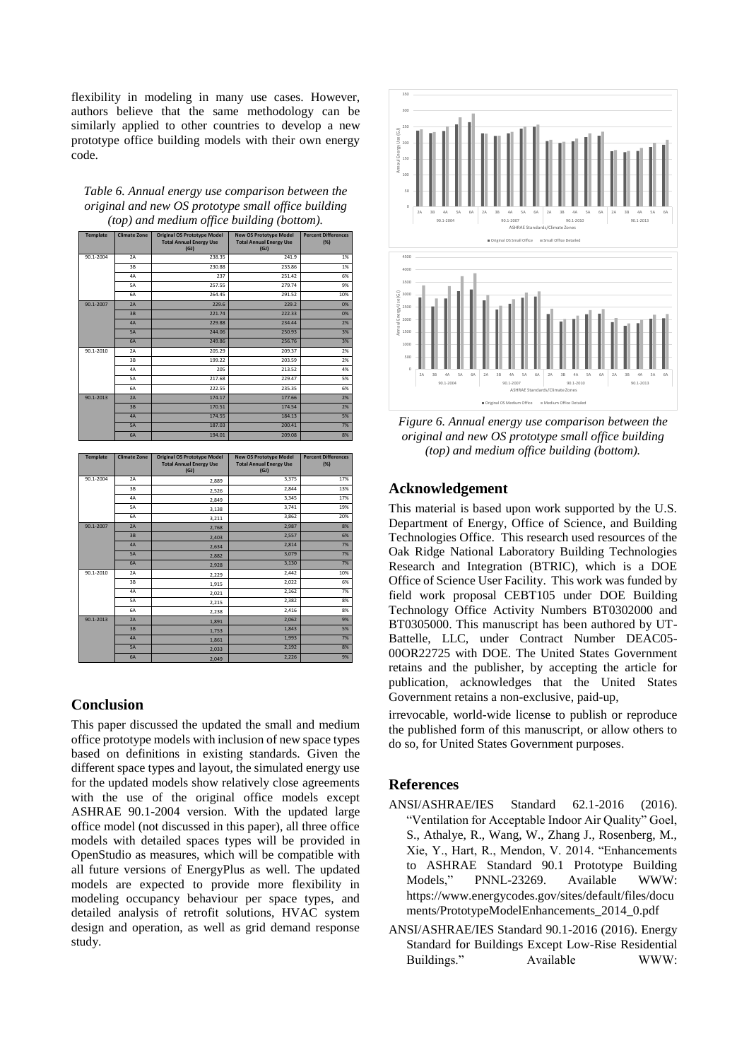flexibility in modeling in many use cases. However, authors believe that the same methodology can be similarly applied to other countries to develop a new prototype office building models with their own energy code.

| Table 6. Annual energy use comparison between the   |
|-----------------------------------------------------|
| original and new OS prototype small office building |
| (top) and medium office building (bottom).          |

| <b>Template</b> | <b>Climate Zone</b> | <b>Original OS Prototype Model</b><br><b>Total Annual Energy Use</b><br>(GJ) | <b>New OS Prototype Model</b><br><b>Total Annual Energy Use</b><br>(GJ) | <b>Percent Differences</b><br>(%) |
|-----------------|---------------------|------------------------------------------------------------------------------|-------------------------------------------------------------------------|-----------------------------------|
| 90.1-2004       | 2A                  | 238.35                                                                       | 241.9                                                                   | 1%                                |
|                 | 3B                  | 230.88                                                                       | 233.86                                                                  | 1%                                |
|                 | 4A                  | 237                                                                          | 251.42                                                                  | 6%                                |
|                 | 5A                  | 257.55                                                                       | 279.74                                                                  | 9%                                |
|                 | 6A                  | 264.45                                                                       | 291.52                                                                  | 10%                               |
| 90.1-2007       | 2A                  | 229.6                                                                        | 229.2                                                                   | 0%                                |
|                 | 3B                  | 221.74                                                                       | 222.33                                                                  | 0%                                |
|                 | 4A                  | 229.88                                                                       | 234.44                                                                  | 2%                                |
|                 | <b>5A</b>           | 244.06                                                                       | 250.93                                                                  | 3%                                |
|                 | <b>6A</b>           | 249.86                                                                       | 256.76                                                                  | 3%                                |
| 90.1-2010       | 2A                  | 205.29                                                                       | 209.37                                                                  | 2%                                |
|                 | 3B                  | 199.22                                                                       | 203.59                                                                  | 2%                                |
|                 | 4A                  | 205                                                                          | 213.52                                                                  | 4%                                |
|                 | 5A                  | 217.68                                                                       | 229.47                                                                  | 5%                                |
|                 | 6A                  | 222.55                                                                       | 235.35                                                                  | 6%                                |
| 90.1-2013       | 2A                  | 174.17                                                                       | 177.66                                                                  | 2%                                |
|                 | 3B                  | 170.51                                                                       | 174.54                                                                  | 2%                                |
|                 | 4A                  | 174.55                                                                       | 184.13                                                                  | 5%                                |
|                 | <b>5A</b>           | 187.03                                                                       | 200.41                                                                  | 7%                                |
|                 | <b>6A</b>           | 194.01                                                                       | 209.08                                                                  | 8%                                |

| <b>Template</b> | <b>Climate Zone</b> | <b>Original OS Prototype Model</b><br><b>Total Annual Energy Use</b><br>(GJ) | <b>New OS Prototype Model</b><br><b>Total Annual Energy Use</b><br>(GJ) | <b>Percent Differences</b><br>(%) |
|-----------------|---------------------|------------------------------------------------------------------------------|-------------------------------------------------------------------------|-----------------------------------|
| 90.1-2004       | 2A                  | 2,889                                                                        | 3,375                                                                   | 17%                               |
|                 | 3B                  | 2,526                                                                        | 2,844                                                                   | 13%                               |
|                 | 4A                  | 2.849                                                                        | 3,345                                                                   | 17%                               |
|                 | 5A                  | 3,138                                                                        | 3,741                                                                   | 19%                               |
|                 | 6A                  | 3,211                                                                        | 3,862                                                                   | 20%                               |
| 90.1-2007       | 2A                  | 2,768                                                                        | 2,987                                                                   | 8%                                |
|                 | 3B                  | 2,403                                                                        | 2,557                                                                   | 6%                                |
|                 | 4A                  | 2,634                                                                        | 2,814                                                                   | 7%                                |
|                 | <b>5A</b>           | 2.882                                                                        | 3,079                                                                   | 7%                                |
|                 | <b>6A</b>           | 2.928                                                                        | 3,130                                                                   | 7%                                |
| 90.1-2010       | 2A                  | 2,229                                                                        | 2,442                                                                   | 10%                               |
|                 | 3B                  | 1,915                                                                        | 2.022                                                                   | 6%                                |
|                 | 4A                  | 2,021                                                                        | 2,162                                                                   | 7%                                |
|                 | 5A                  | 2,215                                                                        | 2,382                                                                   | 8%                                |
|                 | 6A                  | 2,238                                                                        | 2,416                                                                   | 8%                                |
| 90.1-2013       | 2A                  | 1,891                                                                        | 2,062                                                                   | 9%                                |
|                 | 3B                  | 1,753                                                                        | 1,843                                                                   | 5%                                |
|                 | 4A                  | 1,861                                                                        | 1,993                                                                   | 7%                                |
|                 | <b>5A</b>           | 2,033                                                                        | 2,192                                                                   | 8%                                |
|                 | <b>6A</b>           | 2,049                                                                        | 2,226                                                                   | 9%                                |

# **Conclusion**

This paper discussed the updated the small and medium office prototype models with inclusion of new space types based on definitions in existing standards. Given the different space types and layout, the simulated energy use for the updated models show relatively close agreements with the use of the original office models except ASHRAE 90.1-2004 version. With the updated large office model (not discussed in this paper), all three office models with detailed spaces types will be provided in OpenStudio as measures, which will be compatible with all future versions of EnergyPlus as well. The updated models are expected to provide more flexibility in modeling occupancy behaviour per space types, and detailed analysis of retrofit solutions, HVAC system design and operation, as well as grid demand response study.



*Figure 6. Annual energy use comparison between the original and new OS prototype small office building (top) and medium office building (bottom).*

# **Acknowledgement**

This material is based upon work supported by the U.S. Department of Energy, Office of Science, and Building Technologies Office. This research used resources of the Oak Ridge National Laboratory Building Technologies Research and Integration (BTRIC), which is a DOE Office of Science User Facility. This work was funded by field work proposal CEBT105 under DOE Building Technology Office Activity Numbers BT0302000 and BT0305000. This manuscript has been authored by UT-Battelle, LLC, under Contract Number DEAC05- 00OR22725 with DOE. The United States Government retains and the publisher, by accepting the article for publication, acknowledges that the United States Government retains a non-exclusive, paid-up,

irrevocable, world-wide license to publish or reproduce the published form of this manuscript, or allow others to do so, for United States Government purposes.

# **References**

- ANSI/ASHRAE/IES Standard 62.1-2016 (2016). "Ventilation for Acceptable Indoor Air Quality" Goel, S., Athalye, R., Wang, W., Zhang J., Rosenberg, M., Xie, Y., Hart, R., Mendon, V. 2014. "Enhancements to ASHRAE Standard 90.1 Prototype Building Models," PNNL-23269. Available WWW: https://www.energycodes.gov/sites/default/files/docu ments/PrototypeModelEnhancements\_2014\_0.pdf
- ANSI/ASHRAE/IES Standard 90.1-2016 (2016). Energy Standard for Buildings Except Low-Rise Residential Buildings." Available WWW: